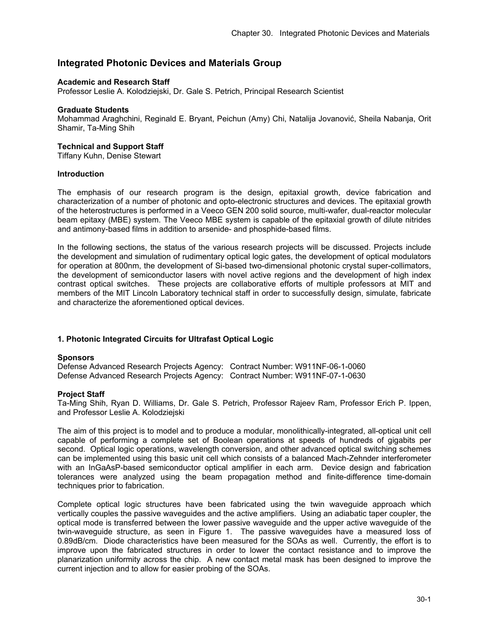# **Integrated Photonic Devices and Materials Group**

#### **Academic and Research Staff**

Professor Leslie A. Kolodziejski, Dr. Gale S. Petrich, Principal Research Scientist

#### **Graduate Students**

Mohammad Araghchini, Reginald E. Bryant, Peichun (Amy) Chi, Natalija Jovanović, Sheila Nabanja, Orit Shamir, Ta-Ming Shih

#### **Technical and Support Staff**

Tiffany Kuhn, Denise Stewart

#### **Introduction**

The emphasis of our research program is the design, epitaxial growth, device fabrication and characterization of a number of photonic and opto-electronic structures and devices. The epitaxial growth of the heterostructures is performed in a Veeco GEN 200 solid source, multi-wafer, dual-reactor molecular beam epitaxy (MBE) system. The Veeco MBE system is capable of the epitaxial growth of dilute nitrides and antimony-based films in addition to arsenide- and phosphide-based films.

In the following sections, the status of the various research projects will be discussed. Projects include the development and simulation of rudimentary optical logic gates, the development of optical modulators for operation at 800nm, the development of Si-based two-dimensional photonic crystal super-collimators, the development of semiconductor lasers with novel active regions and the development of high index contrast optical switches. These projects are collaborative efforts of multiple professors at MIT and members of the MIT Lincoln Laboratory technical staff in order to successfully design, simulate, fabricate and characterize the aforementioned optical devices.

## **1. Photonic Integrated Circuits for Ultrafast Optical Logic**

#### **Sponsors**

Defense Advanced Research Projects Agency: Contract Number: W911NF-06-1-0060 Defense Advanced Research Projects Agency: Contract Number: W911NF-07-1-0630

#### **Project Staff**

Ta-Ming Shih, Ryan D. Williams, Dr. Gale S. Petrich, Professor Rajeev Ram, Professor Erich P. Ippen, and Professor Leslie A. Kolodziejski

The aim of this project is to model and to produce a modular, monolithically-integrated, all-optical unit cell capable of performing a complete set of Boolean operations at speeds of hundreds of gigabits per second. Optical logic operations, wavelength conversion, and other advanced optical switching schemes can be implemented using this basic unit cell which consists of a balanced Mach-Zehnder interferometer with an InGaAsP-based semiconductor optical amplifier in each arm. Device design and fabrication tolerances were analyzed using the beam propagation method and finite-difference time-domain techniques prior to fabrication.

Complete optical logic structures have been fabricated using the twin waveguide approach which vertically couples the passive waveguides and the active amplifiers. Using an adiabatic taper coupler, the optical mode is transferred between the lower passive waveguide and the upper active waveguide of the twin-waveguide structure, as seen in Figure 1. The passive waveguides have a measured loss of 0.89dB/cm. Diode characteristics have been measured for the SOAs as well. Currently, the effort is to improve upon the fabricated structures in order to lower the contact resistance and to improve the planarization uniformity across the chip. A new contact metal mask has been designed to improve the current injection and to allow for easier probing of the SOAs.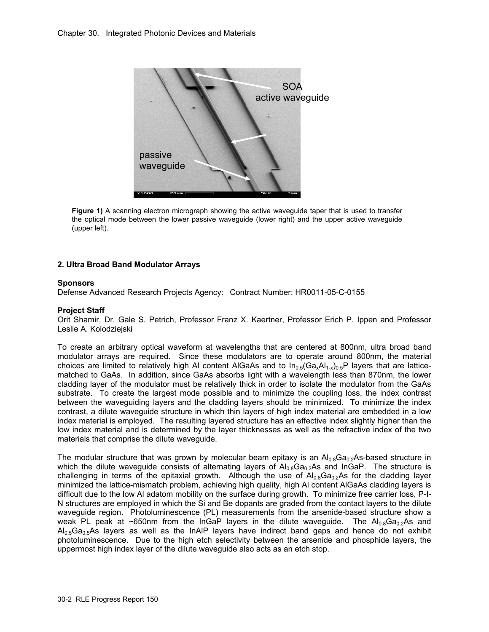

**Figure 1)** A scanning electron micrograph showing the active waveguide taper that is used to transfer the optical mode between the lower passive waveguide (lower right) and the upper active waveguide (upper left).

## **2. Ultra Broad Band Modulator Arrays**

## **Sponsors**

Defense Advanced Research Projects Agency: Contract Number: HR0011-05-C-0155

## **Project Staff**

Orit Shamir, Dr. Gale S. Petrich, Professor Franz X. Kaertner, Professor Erich P. Ippen and Professor Leslie A. Kolodziejski

To create an arbitrary optical waveform at wavelengths that are centered at 800nm, ultra broad band modulator arrays are required. Since these modulators are to operate around 800nm, the material choices are limited to relatively high Al content AlGaAs and to  $\ln_{0.5}(Ga_x Al_{1-x})_{0.5}P$  layers that are latticematched to GaAs. In addition, since GaAs absorbs light with a wavelength less than 870nm, the lower cladding layer of the modulator must be relatively thick in order to isolate the modulator from the GaAs substrate. To create the largest mode possible and to minimize the coupling loss, the index contrast between the waveguiding layers and the cladding layers should be minimized. To minimize the index contrast, a dilute waveguide structure in which thin layers of high index material are embedded in a low index material is employed. The resulting layered structure has an effective index slightly higher than the low index material and is determined by the layer thicknesses as well as the refractive index of the two materials that comprise the dilute waveguide.

The modular structure that was grown by molecular beam epitaxy is an  $Al_{0.8}Ga_{0.2}As$ -based structure in which the dilute waveguide consists of alternating layers of  $Al_{0.8}Ga_{0.2}As$  and InGaP. The structure is challenging in terms of the epitaxial growth. Although the use of  $\overline{A}I_{0.8}Ga_{0.2}As$  for the cladding layer minimized the lattice-mismatch problem, achieving high quality, high Al content AlGaAs cladding layers is difficult due to the low Al adatom mobility on the surface during growth. To minimize free carrier loss, P-I-N structures are employed in which the Si and Be dopants are graded from the contact layers to the dilute waveguide region. Photoluminescence (PL) measurements from the arsenide-based structure show a weak PL peak at ~650nm from the InGaP layers in the dilute waveguide. The  $Al_{0.8}Ga_{0.2}As$  and  $Al<sub>0.5</sub>Ga<sub>0.5</sub>As$  layers as well as the InAIP layers have indirect band gaps and hence do not exhibit photoluminescence. Due to the high etch selectivity between the arsenide and phosphide layers, the uppermost high index layer of the dilute waveguide also acts as an etch stop.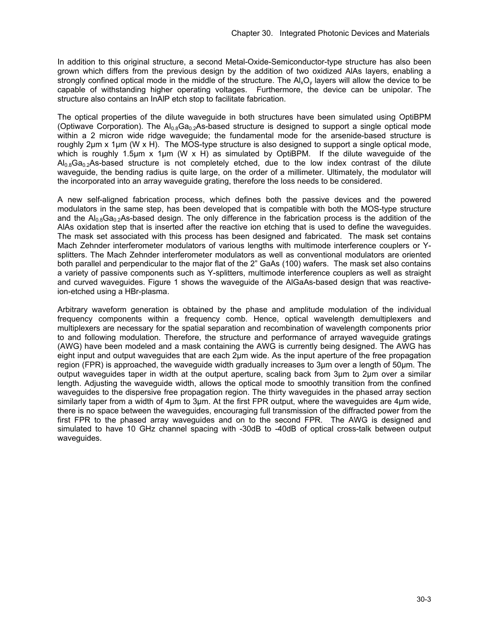In addition to this original structure, a second Metal-Oxide-Semiconductor-type structure has also been grown which differs from the previous design by the addition of two oxidized AlAs layers, enabling a strongly confined optical mode in the middle of the structure. The  $AI_xO_y$  layers will allow the device to be capable of withstanding higher operating voltages. Furthermore, the device can be unipolar. The structure also contains an InAlP etch stop to facilitate fabrication.

The optical properties of the dilute waveguide in both structures have been simulated using OptiBPM (Optiwave Corporation). The  $Al_{0.8}Ga_{0.2}As$ -based structure is designed to support a single optical mode within a 2 micron wide ridge waveguide; the fundamental mode for the arsenide-based structure is roughly 2μm x 1μm (W x H). The MOS-type structure is also designed to support a single optical mode, which is roughly 1.5  $\mu$ m x 1 $\mu$ m (W x H) as simulated by OptiBPM. If the dilute waveguide of the  $Al_{0.8}Ga_{0.2}As$ -based structure is not completely etched, due to the low index contrast of the dilute waveguide, the bending radius is quite large, on the order of a millimeter. Ultimately, the modulator will the incorporated into an array waveguide grating, therefore the loss needs to be considered.

A new self-aligned fabrication process, which defines both the passive devices and the powered modulators in the same step, has been developed that is compatible with both the MOS-type structure and the  $Al_{0.8}Ga_{0.2}As$ -based design. The only difference in the fabrication process is the addition of the AlAs oxidation step that is inserted after the reactive ion etching that is used to define the waveguides. The mask set associated with this process has been designed and fabricated. The mask set contains Mach Zehnder interferometer modulators of various lengths with multimode interference couplers or Ysplitters. The Mach Zehnder interferometer modulators as well as conventional modulators are oriented both parallel and perpendicular to the major flat of the 2" GaAs (100) wafers. The mask set also contains a variety of passive components such as Y-splitters, multimode interference couplers as well as straight and curved waveguides. Figure 1 shows the waveguide of the AlGaAs-based design that was reactiveion-etched using a HBr-plasma.

Arbitrary waveform generation is obtained by the phase and amplitude modulation of the individual frequency components within a frequency comb. Hence, optical wavelength demultiplexers and multiplexers are necessary for the spatial separation and recombination of wavelength components prior to and following modulation. Therefore, the structure and performance of arrayed waveguide gratings (AWG) have been modeled and a mask containing the AWG is currently being designed. The AWG has eight input and output waveguides that are each 2μm wide. As the input aperture of the free propagation region (FPR) is approached, the waveguide width gradually increases to 3μm over a length of 50μm. The output waveguides taper in width at the output aperture, scaling back from 3μm to 2μm over a similar length. Adjusting the waveguide width, allows the optical mode to smoothly transition from the confined waveguides to the dispersive free propagation region. The thirty waveguides in the phased array section similarly taper from a width of 4μm to 3μm. At the first FPR output, where the waveguides are 4μm wide, there is no space between the waveguides, encouraging full transmission of the diffracted power from the first FPR to the phased array waveguides and on to the second FPR. The AWG is designed and simulated to have 10 GHz channel spacing with -30dB to -40dB of optical cross-talk between output waveguides.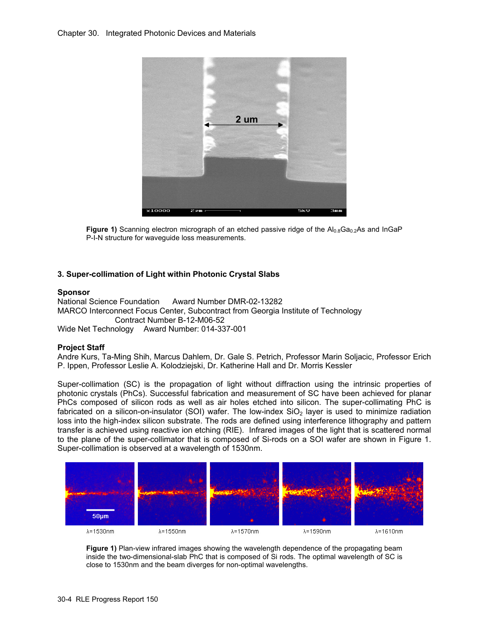

**Figure 1)** Scanning electron micrograph of an etched passive ridge of the  $Al_{0.8}Ga_{0.2}As$  and InGaP P-I-N structure for waveguide loss measurements.

# **3. Super-collimation of Light within Photonic Crystal Slabs**

#### **Sponsor**

National Science Foundation Award Number DMR-02-13282 MARCO Interconnect Focus Center, Subcontract from Georgia Institute of Technology Contract Number B-12-M06-52 Wide Net Technology Award Number: 014-337-001

## **Project Staff**

Andre Kurs, Ta-Ming Shih, Marcus Dahlem, Dr. Gale S. Petrich, Professor Marin Soljacic, Professor Erich P. Ippen, Professor Leslie A. Kolodziejski, Dr. Katherine Hall and Dr. Morris Kessler

Super-collimation (SC) is the propagation of light without diffraction using the intrinsic properties of photonic crystals (PhCs). Successful fabrication and measurement of SC have been achieved for planar PhCs composed of silicon rods as well as air holes etched into silicon. The super-collimating PhC is fabricated on a silicon-on-insulator (SOI) wafer. The low-index  $SiO<sub>2</sub>$  layer is used to minimize radiation loss into the high-index silicon substrate. The rods are defined using interference lithography and pattern transfer is achieved using reactive ion etching (RIE). Infrared images of the light that is scattered normal to the plane of the super-collimator that is composed of Si-rods on a SOI wafer are shown in Figure 1. Super-collimation is observed at a wavelength of 1530nm.



**Figure 1)** Plan-view infrared images showing the wavelength dependence of the propagating beam inside the two-dimensional-slab PhC that is composed of Si rods. The optimal wavelength of SC is close to 1530nm and the beam diverges for non-optimal wavelengths.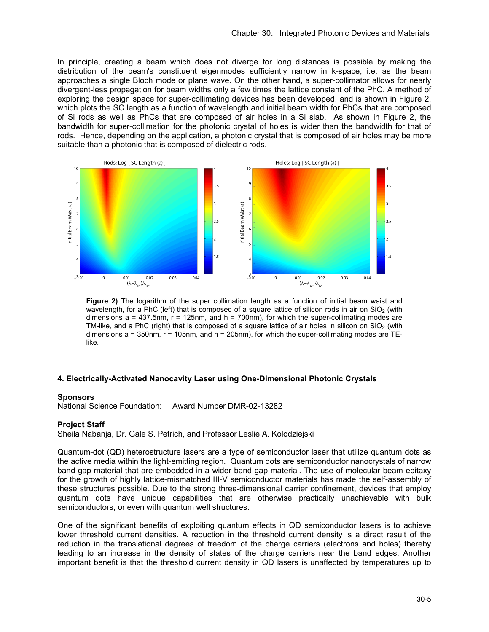In principle, creating a beam which does not diverge for long distances is possible by making the distribution of the beam's constituent eigenmodes sufficiently narrow in k-space, i.e. as the beam approaches a single Bloch mode or plane wave. On the other hand, a super-collimator allows for nearly divergent-less propagation for beam widths only a few times the lattice constant of the PhC. A method of exploring the design space for super-collimating devices has been developed, and is shown in Figure 2, which plots the SC length as a function of wavelength and initial beam width for PhCs that are composed of Si rods as well as PhCs that are composed of air holes in a Si slab. As shown in Figure 2, the bandwidth for super-collimation for the photonic crystal of holes is wider than the bandwidth for that of rods. Hence, depending on the application, a photonic crystal that is composed of air holes may be more suitable than a photonic that is composed of dielectric rods.



**Figure 2)** The logarithm of the super collimation length as a function of initial beam waist and wavelength, for a PhC (left) that is composed of a square lattice of silicon rods in air on  $SiO<sub>2</sub>$  (with dimensions  $a = 437.5$ nm,  $r = 125$ nm, and  $h = 700$ nm), for which the super-collimating modes are TM-like, and a PhC (right) that is composed of a square lattice of air holes in silicon on  $SiO<sub>2</sub>$  (with dimensions  $a = 350$ nm,  $r = 105$ nm, and  $h = 205$ nm), for which the super-collimating modes are TElike.

## **4. Electrically-Activated Nanocavity Laser using One-Dimensional Photonic Crystals**

#### **Sponsors**

National Science Foundation: Award Number DMR-02-13282

## **Project Staff**

Sheila Nabanja, Dr. Gale S. Petrich, and Professor Leslie A. Kolodziejski

Quantum-dot (QD) heterostructure lasers are a type of semiconductor laser that utilize quantum dots as the active media within the light-emitting region. Quantum dots are semiconductor nanocrystals of narrow band-gap material that are embedded in a wider band-gap material. The use of molecular beam epitaxy for the growth of highly lattice-mismatched III-V semiconductor materials has made the self-assembly of these structures possible. Due to the strong three-dimensional carrier confinement, devices that employ quantum dots have unique capabilities that are otherwise practically unachievable with bulk semiconductors, or even with quantum well structures.

One of the significant benefits of exploiting quantum effects in QD semiconductor lasers is to achieve lower threshold current densities. A reduction in the threshold current density is a direct result of the reduction in the translational degrees of freedom of the charge carriers (electrons and holes) thereby leading to an increase in the density of states of the charge carriers near the band edges. Another important benefit is that the threshold current density in QD lasers is unaffected by temperatures up to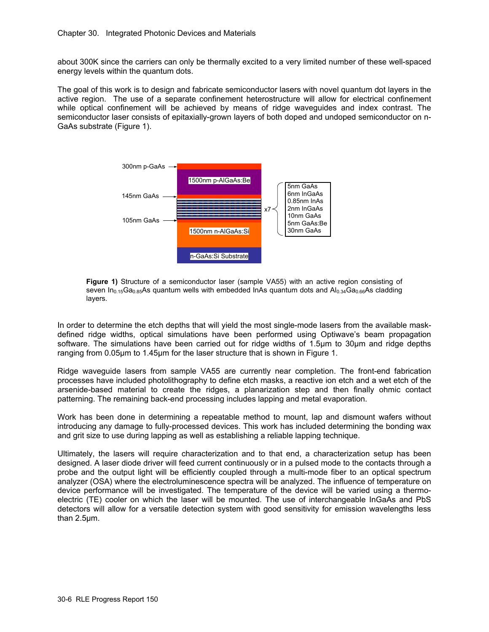about 300K since the carriers can only be thermally excited to a very limited number of these well-spaced energy levels within the quantum dots.

The goal of this work is to design and fabricate semiconductor lasers with novel quantum dot layers in the active region. The use of a separate confinement heterostructure will allow for electrical confinement while optical confinement will be achieved by means of ridge waveguides and index contrast. The semiconductor laser consists of epitaxially-grown layers of both doped and undoped semiconductor on n-GaAs substrate (Figure 1).



**Figure 1)** Structure of a semiconductor laser (sample VA55) with an active region consisting of seven In<sub>0.15</sub>Ga<sub>0.85</sub>As quantum wells with embedded InAs quantum dots and Al<sub>0.34</sub>Ga<sub>0.66</sub>As cladding layers.

In order to determine the etch depths that will yield the most single-mode lasers from the available maskdefined ridge widths, optical simulations have been performed using Optiwave's beam propagation software. The simulations have been carried out for ridge widths of 1.5 um to 30 um and ridge depths ranging from 0.05µm to 1.45µm for the laser structure that is shown in Figure 1.

Ridge waveguide lasers from sample VA55 are currently near completion. The front-end fabrication processes have included photolithography to define etch masks, a reactive ion etch and a wet etch of the arsenide-based material to create the ridges, a planarization step and then finally ohmic contact patterning. The remaining back-end processing includes lapping and metal evaporation.

Work has been done in determining a repeatable method to mount, lap and dismount wafers without introducing any damage to fully-processed devices. This work has included determining the bonding wax and grit size to use during lapping as well as establishing a reliable lapping technique.

Ultimately, the lasers will require characterization and to that end, a characterization setup has been designed. A laser diode driver will feed current continuously or in a pulsed mode to the contacts through a probe and the output light will be efficiently coupled through a multi-mode fiber to an optical spectrum analyzer (OSA) where the electroluminescence spectra will be analyzed. The influence of temperature on device performance will be investigated. The temperature of the device will be varied using a thermoelectric (TE) cooler on which the laser will be mounted. The use of interchangeable InGaAs and PbS detectors will allow for a versatile detection system with good sensitivity for emission wavelengths less than 2.5µm.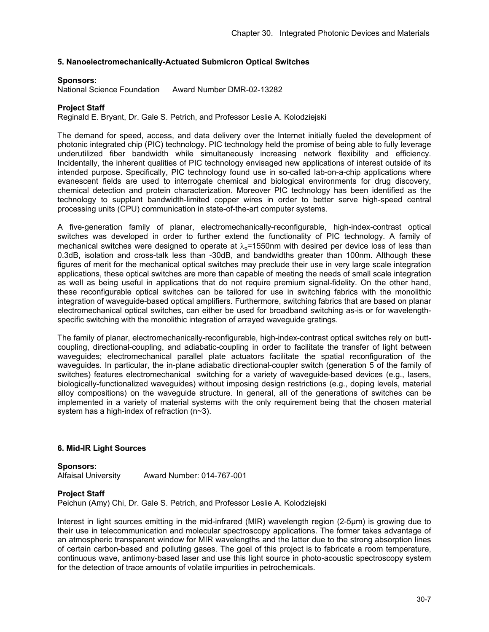## **5. Nanoelectromechanically-Actuated Submicron Optical Switches**

**Sponsors:**<br>National Science Foundation Award Number DMR-02-13282

## **Project Staff**

Reginald E. Bryant, Dr. Gale S. Petrich, and Professor Leslie A. Kolodziejski

The demand for speed, access, and data delivery over the Internet initially fueled the development of photonic integrated chip (PIC) technology. PIC technology held the promise of being able to fully leverage underutilized fiber bandwidth while simultaneously increasing network flexibility and efficiency. Incidentally, the inherent qualities of PIC technology envisaged new applications of interest outside of its intended purpose. Specifically, PIC technology found use in so-called lab-on-a-chip applications where evanescent fields are used to interrogate chemical and biological environments for drug discovery, chemical detection and protein characterization. Moreover PIC technology has been identified as the technology to supplant bandwidth-limited copper wires in order to better serve high-speed central processing units (CPU) communication in state-of-the-art computer systems.

A five-generation family of planar, electromechanically-reconfigurable, high-index-contrast optical switches was developed in order to further extend the functionality of PIC technology. A family of mechanical switches were designed to operate at  $\lambda_0$ =1550nm with desired per device loss of less than 0.3dB, isolation and cross-talk less than -30dB, and bandwidths greater than 100nm. Although these figures of merit for the mechanical optical switches may preclude their use in very large scale integration applications, these optical switches are more than capable of meeting the needs of small scale integration as well as being useful in applications that do not require premium signal-fidelity. On the other hand, these reconfigurable optical switches can be tailored for use in switching fabrics with the monolithic integration of waveguide-based optical amplifiers. Furthermore, switching fabrics that are based on planar electromechanical optical switches, can either be used for broadband switching as-is or for wavelengthspecific switching with the monolithic integration of arrayed waveguide gratings.

The family of planar, electromechanically-reconfigurable, high-index-contrast optical switches rely on buttcoupling, directional-coupling, and adiabatic-coupling in order to facilitate the transfer of light between waveguides; electromechanical parallel plate actuators facilitate the spatial reconfiguration of the waveguides. In particular, the in-plane adiabatic directional-coupler switch (generation 5 of the family of switches) features electromechanical switching for a variety of waveguide-based devices (e.g., lasers, biologically-functionalized waveguides) without imposing design restrictions (e.g., doping levels, material alloy compositions) on the waveguide structure. In general, all of the generations of switches can be implemented in a variety of material systems with the only requirement being that the chosen material system has a high-index of refraction (n~3).

## **6. Mid-IR Light Sources**

**Sponsors:**  Alfaisal University Award Number: 014-767-001

## **Project Staff**

Peichun (Amy) Chi, Dr. Gale S. Petrich, and Professor Leslie A. Kolodziejski

Interest in light sources emitting in the mid-infrared (MIR) wavelength region (2-5μm) is growing due to their use in telecommunication and molecular spectroscopy applications. The former takes advantage of an atmospheric transparent window for MIR wavelengths and the latter due to the strong absorption lines of certain carbon-based and polluting gases. The goal of this project is to fabricate a room temperature, continuous wave, antimony-based laser and use this light source in photo-acoustic spectroscopy system for the detection of trace amounts of volatile impurities in petrochemicals.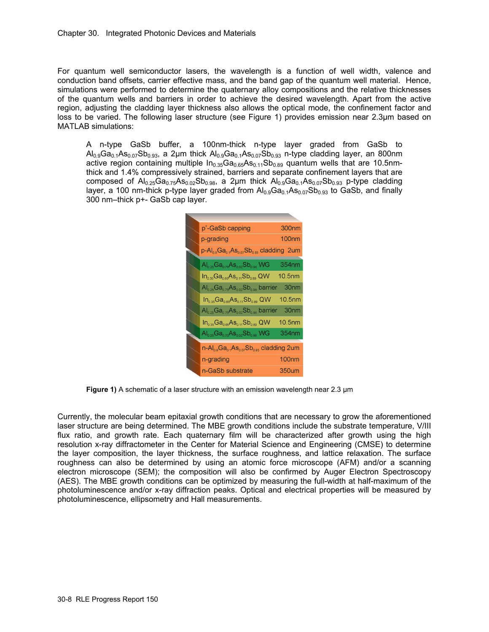For quantum well semiconductor lasers, the wavelength is a function of well width, valence and conduction band offsets, carrier effective mass, and the band gap of the quantum well material. Hence, simulations were performed to determine the quaternary alloy compositions and the relative thicknesses of the quantum wells and barriers in order to achieve the desired wavelength. Apart from the active region, adjusting the cladding layer thickness also allows the optical mode, the confinement factor and loss to be varied. The following laser structure (see Figure 1) provides emission near 2.3μm based on MATLAB simulations:

A n-type GaSb buffer, a 100nm-thick n-type layer graded from GaSb to  $Al_{0.9}Ga_{0.1}As_{0.07}Sb_{0.93}$ , a 2µm thick  $Al_{0.9}Ga_{0.1}As_{0.07}Sb_{0.93}$  n-type cladding layer, an 800nm active region containing multiple  $In<sub>0.35</sub>Ga<sub>0.65</sub>As<sub>0.11</sub>Sh<sub>0.89</sub>$  quantum wells that are 10.5nmthick and 1.4% compressively strained, barriers and separate confinement layers that are composed of  $Al_{0.25}Ga_{0.75}As_{0.02}Sb_{0.98}$ , a 2µm thick  $Al_{0.9}Ga_{0.1}As_{0.07}Sb_{0.93}$  p-type cladding layer, a 100 nm-thick p-type layer graded from  $Al_{0.9}Ga_{0.1}As_{0.07}Sb_{0.93}$  to GaSb, and finally 300 nm–thick p+- GaSb cap layer.

| p <sup>+</sup> -GaSb capping                                                                                                       | 300nm              |
|------------------------------------------------------------------------------------------------------------------------------------|--------------------|
| p-grading                                                                                                                          | 100 <sub>nm</sub>  |
| p-Al <sub>os</sub> Ga <sub>nd</sub> As <sub>ooz</sub> Sb <sub>oss</sub> cladding 2um                                               |                    |
| $\text{Al}_{0.25}\text{Ga}_{0.75}\text{As}_{0.02}\text{Sb}_{0.98}$ WG                                                              | 354nm              |
| $In_{0.35}Ga_{0.65}As_{0.11}Sb_{0.89}$ QW $-$                                                                                      | 10.5 <sub>nm</sub> |
| $\text{Al}_{925}\text{Ga}_{975}\text{As}_{992}\text{Sb}_{998}$ barrier                                                             | 30 <sub>nm</sub>   |
| $In_{0.35}Ga_{0.85}As_{0.11}Sb_{0.89}$ QW                                                                                          | 10.5 <sub>nm</sub> |
| $\mathsf{Al}_{\mathsf{0.25}}\mathsf{Ga}_{\mathsf{0.75}}\mathsf{As}_{\mathsf{0.02}}\mathsf{Sb}_{\mathsf{0.98}}$ barrier             | 30 <sub>nm</sub>   |
| $In_{0.35}Ga_{0.65}As_{0.11}Sb_{0.89}$ QW                                                                                          | 10.5 <sub>nm</sub> |
| $\mathsf{Al}_{\mathsf{0.25}}\mathsf{Ga}_{\mathsf{0.75}}\mathsf{As}_{\mathsf{0.02}}\mathsf{Sb}_{\mathsf{0.98}}\mathsf{W}\mathsf{G}$ | 354nm              |
| n-Al <sub>os</sub> Ga <sub>o 1</sub> As <sub>ooz</sub> Sb <sub>oss</sub> cladding 2um                                              |                    |
| n-grading                                                                                                                          | 100 <sub>nm</sub>  |
| n-GaSb substrate                                                                                                                   | 350um              |

**Figure 1)** A schematic of a laser structure with an emission wavelength near 2.3 μm

Currently, the molecular beam epitaxial growth conditions that are necessary to grow the aforementioned laser structure are being determined. The MBE growth conditions include the substrate temperature, V/III flux ratio, and growth rate. Each quaternary film will be characterized after growth using the high resolution x-ray diffractometer in the Center for Material Science and Engineering (CMSE) to determine the layer composition, the layer thickness, the surface roughness, and lattice relaxation. The surface roughness can also be determined by using an atomic force microscope (AFM) and/or a scanning electron microscope (SEM); the composition will also be confirmed by Auger Electron Spectroscopy (AES). The MBE growth conditions can be optimized by measuring the full-width at half-maximum of the photoluminescence and/or x-ray diffraction peaks. Optical and electrical properties will be measured by photoluminescence, ellipsometry and Hall measurements.